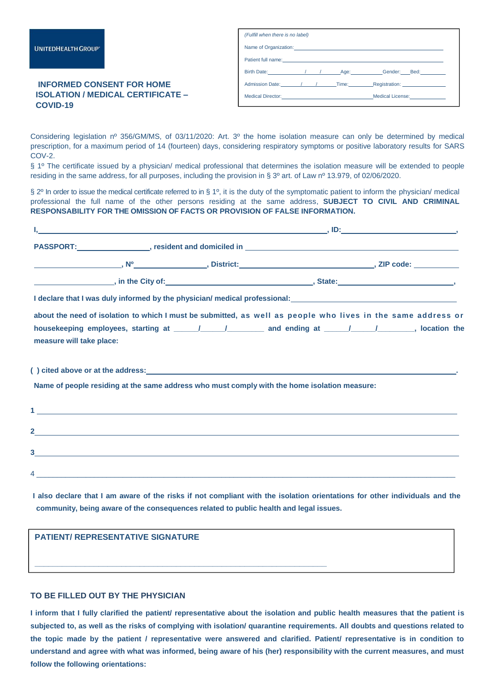## **INFORMED CONSENT FOR HOME ISOLATION / MEDICAL CERTIFICATE – COVID-19**

| (Fulfill when there is no label)                                                                                                                                                                                                      |  |  |  |                                                |  |  |  |  |
|---------------------------------------------------------------------------------------------------------------------------------------------------------------------------------------------------------------------------------------|--|--|--|------------------------------------------------|--|--|--|--|
| Name of Organization: <u>contract and a series of the series of the series of the series of the series of the series of the series of the series of the series of the series of the series of the series of the series of the se</u>  |  |  |  |                                                |  |  |  |  |
| Patient full name:<br><u> and</u> the contract of the contract of the contract of the contract of the contract of the contract of the contract of the contract of the contract of the contract of the contract of the contract of the |  |  |  |                                                |  |  |  |  |
|                                                                                                                                                                                                                                       |  |  |  |                                                |  |  |  |  |
|                                                                                                                                                                                                                                       |  |  |  | Admission Date: 1 / / Time: Registration: 2001 |  |  |  |  |
| Medical Director: Network and Medical License:                                                                                                                                                                                        |  |  |  |                                                |  |  |  |  |

Considering legislation nº 356/GM/MS, of 03/11/2020: Art. 3º the home isolation measure can only be determined by medical prescription, for a maximum period of 14 (fourteen) days, considering respiratory symptoms or positive laboratory results for SARS COV-2.

§ 1º The certificate issued by a physician/ medical professional that determines the isolation measure will be extended to people residing in the same address, for all purposes, including the provision in § 3º art. of Law nº 13.979, of 02/06/2020.

§ 2<sup>o</sup> In order to issue the medical certificate referred to in § 1<sup>o</sup>, it is the duty of the symptomatic patient to inform the physician/ medical professional the full name of the other persons residing at the same address, **SUBJECT TO CIVIL AND CRIMINAL RESPONSABILITY FOR THE OMISSION OF FACTS OR PROVISION OF FALSE INFORMATION.**

|                          | I declare that I was duly informed by the physician/ medical professional: ___________________________________ |  |  |  |  |  |
|--------------------------|----------------------------------------------------------------------------------------------------------------|--|--|--|--|--|
|                          | about the need of isolation to which I must be submitted, as well as people who lives in the same address or   |  |  |  |  |  |
| measure will take place: | housekeeping employees, starting at _____/______/________ and ending at _____/______/_______, location the     |  |  |  |  |  |
|                          |                                                                                                                |  |  |  |  |  |
|                          | Name of people residing at the same address who must comply with the home isolation measure:                   |  |  |  |  |  |
|                          |                                                                                                                |  |  |  |  |  |
| $2$ <sub>____</sub>      | ,我们也不能会有什么。""我们的人,我们也不能会有什么?""我们的人,我们也不能会有什么?""我们的人,我们也不能会有什么?""我们的人,我们也不能会有什么?""                              |  |  |  |  |  |

**I also declare that I am aware of the risks if not compliant with the isolation orientations for other individuals and the community, being aware of the consequences related to public health and legal issues.**

4 \_\_\_\_\_\_\_\_\_\_\_\_\_\_\_\_\_\_\_\_\_\_\_\_\_\_\_\_\_\_\_\_\_\_\_\_\_\_\_\_\_\_\_\_\_\_\_\_\_\_\_\_\_\_\_\_\_\_\_\_\_\_\_\_\_\_\_\_\_\_\_\_\_\_\_\_\_\_\_\_\_\_\_\_\_\_\_\_\_\_\_\_\_\_\_\_\_\_\_\_\_\_

| PATIENT/ REPRESENTATIVE SIGNATURE |  |
|-----------------------------------|--|
|                                   |  |
|                                   |  |

## **TO BE FILLED OUT BY THE PHYSICIAN**

**3**

**I inform that I fully clarified the patient/ representative about the isolation and public health measures that the patient is subjected to, as well as the risks of complying with isolation/ quarantine requirements. All doubts and questions related to the topic made by the patient / representative were answered and clarified. Patient/ representative is in condition to understand and agree with what was informed, being aware of his (her) responsibility with the current measures, and must follow the following orientations:**